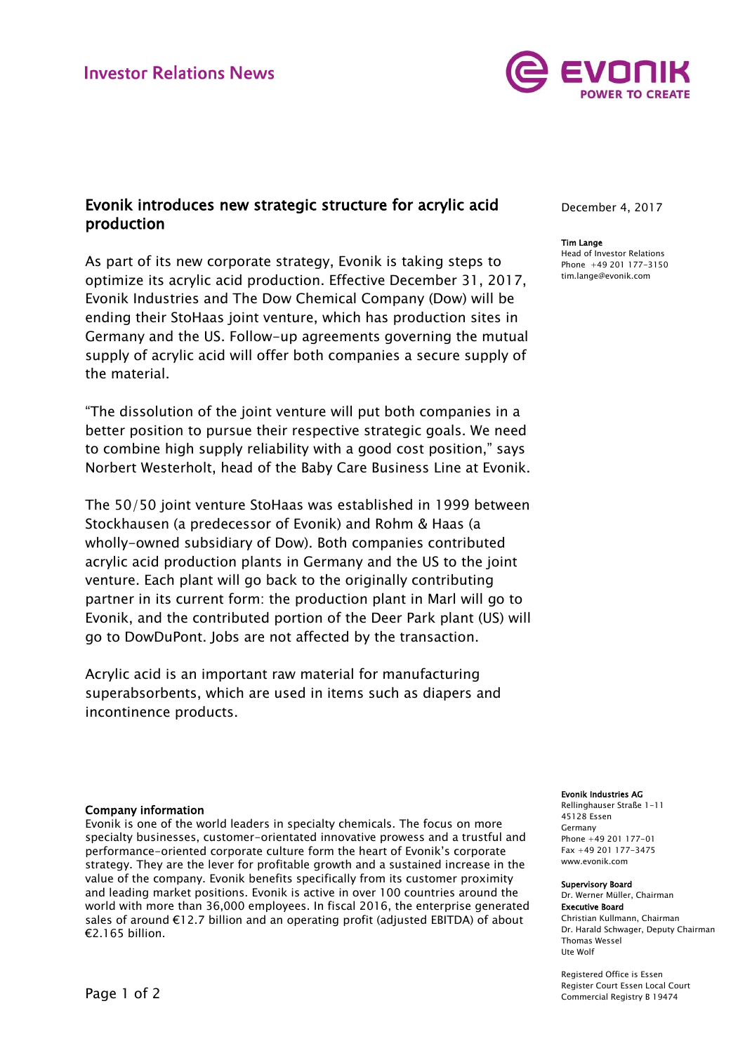

# Evonik introduces new strategic structure for acrylic acid production

As part of its new corporate strategy, Evonik is taking steps to optimize its acrylic acid production. Effective December 31, 2017, Evonik Industries and The Dow Chemical Company (Dow) will be ending their StoHaas joint venture, which has production sites in Germany and the US. Follow-up agreements governing the mutual supply of acrylic acid will offer both companies a secure supply of the material.

"The dissolution of the joint venture will put both companies in a better position to pursue their respective strategic goals. We need to combine high supply reliability with a good cost position," says Norbert Westerholt, head of the Baby Care Business Line at Evonik.

The 50/50 joint venture StoHaas was established in 1999 between Stockhausen (a predecessor of Evonik) and Rohm & Haas (a wholly-owned subsidiary of Dow). Both companies contributed acrylic acid production plants in Germany and the US to the joint venture. Each plant will go back to the originally contributing partner in its current form: the production plant in Marl will go to Evonik, and the contributed portion of the Deer Park plant (US) will go to DowDuPont. Jobs are not affected by the transaction.

Acrylic acid is an important raw material for manufacturing superabsorbents, which are used in items such as diapers and incontinence products.

# Company information

Evonik is one of the world leaders in specialty chemicals. The focus on more specialty businesses, customer-orientated innovative prowess and a trustful and performance-oriented corporate culture form the heart of Evonik's corporate strategy. They are the lever for profitable growth and a sustained increase in the value of the company. Evonik benefits specifically from its customer proximity and leading market positions. Evonik is active in over 100 countries around the world with more than 36,000 employees. In fiscal 2016, the enterprise generated sales of around €12.7 billion and an operating profit (adjusted EBITDA) of about €2.165 billion.

December 4, 2017

### Tim Lange

Head of Investor Relations Phone +49 201 177-3150 tim.lange@evonik.com

#### Evonik Industries AG

Rellinghauser Straße 1-11 45128 Essen Germany Phone +49 201 177-01 Fax +49 201 177-3475 www.evonik.com

### Supervisory Board

Dr. Werner Müller, Chairman Executive Board Christian Kullmann, Chairman Dr. Harald Schwager, Deputy Chairman Thomas Wessel Ute Wolf

Registered Office is Essen Register Court Essen Local Court Commercial Registry B 19474